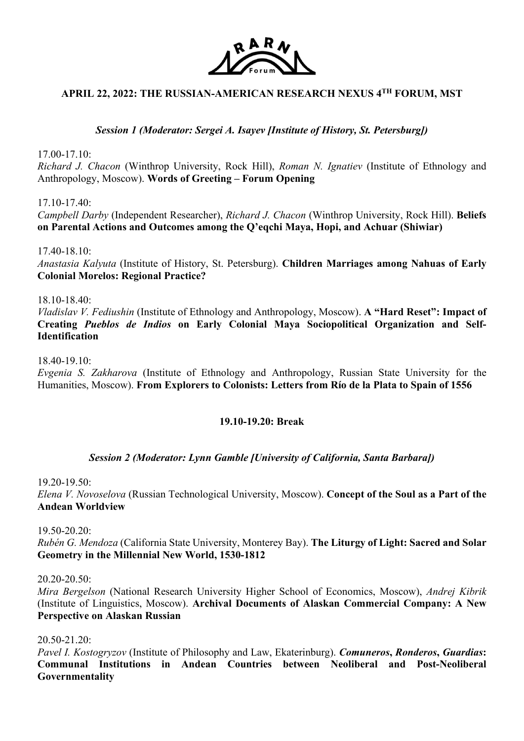

# **APRIL 22, 2022: THE RUSSIAN-AMERICAN RESEARCH NEXUS 4TH FORUM, MST**

*Session 1 (Moderator: Sergei A. Isayev [Institute of History, St. Petersburg])*

17.00-17.10:

*Richard J. Chacon* (Winthrop University, Rock Hill), *Roman N. Ignatiev* (Institute of Ethnology and Anthropology, Moscow). **Words of Greeting – Forum Opening**

17.10-17.40:

*Campbell Darby* (Independent Researcher), *Richard J. Chacon* (Winthrop University, Rock Hill). **Beliefs on Parental Actions and Outcomes among the Q'eqchi Maya, Hopi, and Achuar (Shiwiar)**

17.40-18.10:

*Anastasia Kalyuta* (Institute of History, St. Petersburg). **Children Marriages among Nahuas of Early Colonial Morelos: Regional Practice?**

18.10-18.40:

*Vladislav V. Fediushin* (Institute of Ethnology and Anthropology, Moscow). **A "Hard Reset": Impact of Creating** *Pueblos de Indios* **on Early Colonial Maya Sociopolitical Organization and Self-Identification**

18.40-19.10:

*Evgenia S. Zakharova* (Institute of Ethnology and Anthropology, Russian State University for the Humanities, Moscow). **From Explorers to Colonists: Letters from Río de la Plata to Spain of 1556**

### **19.10-19.20: Break**

### *Session 2 (Moderator: Lynn Gamble [University of California, Santa Barbara])*

19.20-19.50: *Elena V. Novoselova* (Russian Technological University, Moscow). **Concept of the Soul as a Part of the Andean Worldview**

19.50-20.20:

*Rubén G. Mendoza* (California State University, Monterey Bay). **The Liturgy of Light: Sacred and Solar Geometry in the Millennial New World, 1530-1812**

20.20-20.50:

*Mira Bergelson* (National Research University Higher School of Economics, Moscow), *Andrej Kibrik* (Institute of Linguistics, Moscow). **Archival Documents of Alaskan Commercial Company: A New Perspective on Alaskan Russian**

20.50-21.20:

*Pavel I. Kostogryzov* (Institute of Philosophy and Law, Ekaterinburg). *Comuneros***,** *Ronderos***,** *Guardias***: Communal Institutions in Andean Countries between Neoliberal and Post-Neoliberal Governmentality**